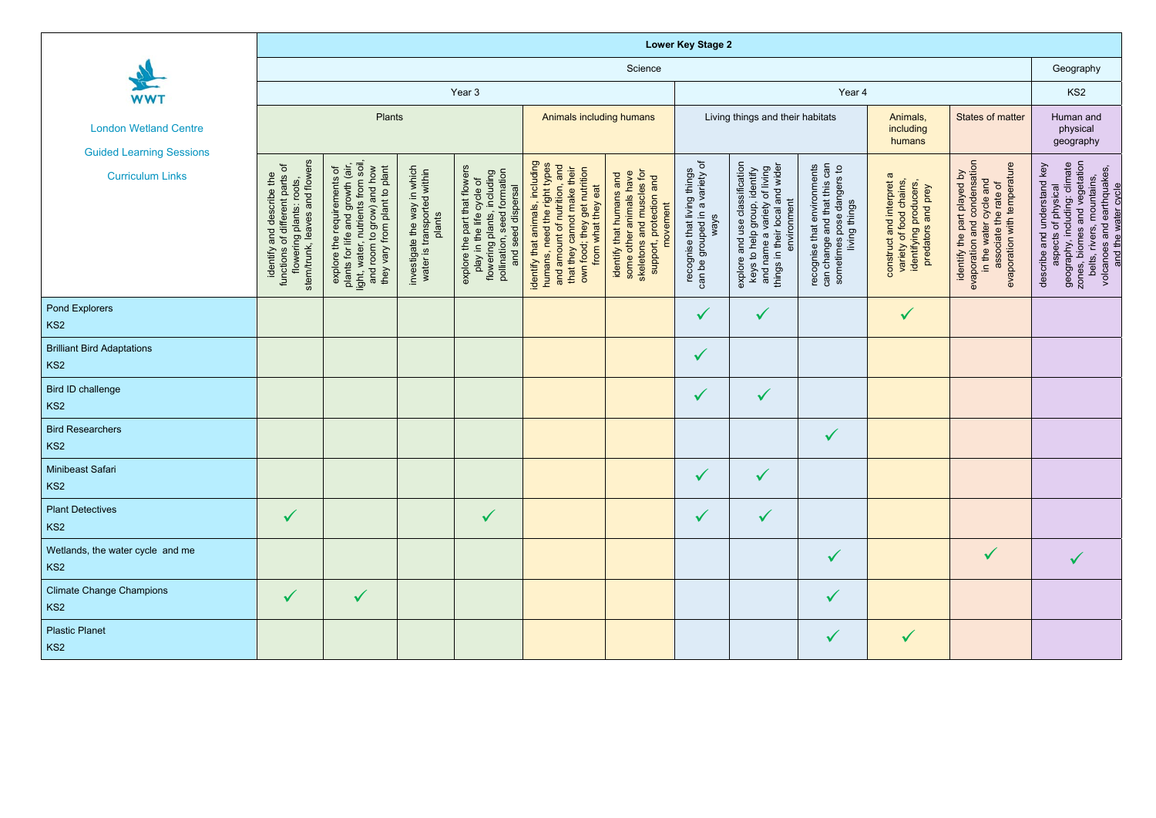| <b>WWT</b><br><b>London Wetland Centre</b><br><b>Guided Learning Sessions</b><br><b>Curriculum Links</b> | <b>Lower Key Stage 2</b>                                                                                                   |                                                                                                                                                                        |                                                                       |                                                                                                                                                   |                                                                                                                                                                                       |                                                                                                                            |                                                                        |                                                                                                                                                                       |                                                                                                           |                                                                                                      |                                                                                                                                                |                                                                                                                                                                                                       |
|----------------------------------------------------------------------------------------------------------|----------------------------------------------------------------------------------------------------------------------------|------------------------------------------------------------------------------------------------------------------------------------------------------------------------|-----------------------------------------------------------------------|---------------------------------------------------------------------------------------------------------------------------------------------------|---------------------------------------------------------------------------------------------------------------------------------------------------------------------------------------|----------------------------------------------------------------------------------------------------------------------------|------------------------------------------------------------------------|-----------------------------------------------------------------------------------------------------------------------------------------------------------------------|-----------------------------------------------------------------------------------------------------------|------------------------------------------------------------------------------------------------------|------------------------------------------------------------------------------------------------------------------------------------------------|-------------------------------------------------------------------------------------------------------------------------------------------------------------------------------------------------------|
|                                                                                                          | Science                                                                                                                    |                                                                                                                                                                        |                                                                       |                                                                                                                                                   |                                                                                                                                                                                       |                                                                                                                            |                                                                        |                                                                                                                                                                       |                                                                                                           |                                                                                                      | Geography                                                                                                                                      |                                                                                                                                                                                                       |
|                                                                                                          | Year 3                                                                                                                     |                                                                                                                                                                        |                                                                       |                                                                                                                                                   |                                                                                                                                                                                       |                                                                                                                            | Year 4                                                                 |                                                                                                                                                                       |                                                                                                           |                                                                                                      |                                                                                                                                                | KS <sub>2</sub>                                                                                                                                                                                       |
|                                                                                                          | Plants                                                                                                                     |                                                                                                                                                                        |                                                                       |                                                                                                                                                   | Animals including humans                                                                                                                                                              |                                                                                                                            | Living things and their habitats                                       |                                                                                                                                                                       |                                                                                                           | Animals,<br>including<br>humans                                                                      | <b>States of matter</b>                                                                                                                        | Human and<br>physical<br>geography                                                                                                                                                                    |
|                                                                                                          | stem/trunk, leaves and flowers<br>identify and describe the<br>functions of different parts of<br>flowering plants: roots, | plants for life and growth (air,<br>light, water, nutrients from soil,<br>and room to grow) and how<br>they vary from plant to plant<br>requirements of<br>explore the | investigate the way in which<br>water is transported within<br>plants | explore the part that flowers<br>play in the life cycle of<br>flowering plants, including<br>formation<br>and seed dispersal<br>pollination, seed | identify that animals, including<br>humans, need the right types<br>and amount of nutrition, and<br>that they cannot make their<br>own food; they get nutrition<br>from what they eat | skeletons and muscles for<br>identify that humans and<br>some other animals have<br>protection and<br>movement<br>support, | can be grouped in a variety of<br>recognise that living things<br>ways | classification<br>and wider<br>explore and use classification<br>keys to help group, identify<br>and name a variety of living<br>environment<br>things in their local | recognise that environments<br>can change and that this can<br>sometimes pose dangers to<br>living things | construct and interpret a<br>variety of food chains,<br>identifying producers,<br>predators and prey | evaporation and condensation<br>in the water cycle and<br>associate the rate of<br>evaporation with temperature<br>identify the part played by | zones, biomes and vegetation<br>belts, rivers, mountains,<br>volcanoes and earthquakes,<br>and the water cycle<br>geography, including: climate<br>describe and understand key<br>aspects of physical |
| <b>Pond Explorers</b><br>KS <sub>2</sub>                                                                 |                                                                                                                            |                                                                                                                                                                        |                                                                       |                                                                                                                                                   |                                                                                                                                                                                       |                                                                                                                            | $\checkmark$                                                           | $\checkmark$                                                                                                                                                          |                                                                                                           | $\checkmark$                                                                                         |                                                                                                                                                |                                                                                                                                                                                                       |
| <b>Brilliant Bird Adaptations</b><br>KS <sub>2</sub>                                                     |                                                                                                                            |                                                                                                                                                                        |                                                                       |                                                                                                                                                   |                                                                                                                                                                                       |                                                                                                                            | $\checkmark$                                                           |                                                                                                                                                                       |                                                                                                           |                                                                                                      |                                                                                                                                                |                                                                                                                                                                                                       |
| <b>Bird ID challenge</b><br>KS <sub>2</sub>                                                              |                                                                                                                            |                                                                                                                                                                        |                                                                       |                                                                                                                                                   |                                                                                                                                                                                       |                                                                                                                            | $\checkmark$                                                           | $\checkmark$                                                                                                                                                          |                                                                                                           |                                                                                                      |                                                                                                                                                |                                                                                                                                                                                                       |
| <b>Bird Researchers</b><br>KS <sub>2</sub>                                                               |                                                                                                                            |                                                                                                                                                                        |                                                                       |                                                                                                                                                   |                                                                                                                                                                                       |                                                                                                                            |                                                                        |                                                                                                                                                                       | $\checkmark$                                                                                              |                                                                                                      |                                                                                                                                                |                                                                                                                                                                                                       |
| Minibeast Safari<br>KS <sub>2</sub>                                                                      |                                                                                                                            |                                                                                                                                                                        |                                                                       |                                                                                                                                                   |                                                                                                                                                                                       |                                                                                                                            |                                                                        |                                                                                                                                                                       |                                                                                                           |                                                                                                      |                                                                                                                                                |                                                                                                                                                                                                       |
| <b>Plant Detectives</b><br>KS <sub>2</sub>                                                               | $\checkmark$                                                                                                               |                                                                                                                                                                        |                                                                       | $\checkmark$                                                                                                                                      |                                                                                                                                                                                       |                                                                                                                            | $\checkmark$                                                           | $\checkmark$                                                                                                                                                          |                                                                                                           |                                                                                                      |                                                                                                                                                |                                                                                                                                                                                                       |
| Wetlands, the water cycle and me<br>KS <sub>2</sub>                                                      |                                                                                                                            |                                                                                                                                                                        |                                                                       |                                                                                                                                                   |                                                                                                                                                                                       |                                                                                                                            |                                                                        |                                                                                                                                                                       |                                                                                                           |                                                                                                      | $\checkmark$                                                                                                                                   |                                                                                                                                                                                                       |
| Climate Change Champions<br>KS <sub>2</sub>                                                              |                                                                                                                            | $\checkmark$                                                                                                                                                           |                                                                       |                                                                                                                                                   |                                                                                                                                                                                       |                                                                                                                            |                                                                        |                                                                                                                                                                       | $\checkmark$                                                                                              |                                                                                                      |                                                                                                                                                |                                                                                                                                                                                                       |
| Plastic Planet<br>KS <sub>2</sub>                                                                        |                                                                                                                            |                                                                                                                                                                        |                                                                       |                                                                                                                                                   |                                                                                                                                                                                       |                                                                                                                            |                                                                        |                                                                                                                                                                       | $\checkmark$                                                                                              | $\checkmark$                                                                                         |                                                                                                                                                |                                                                                                                                                                                                       |